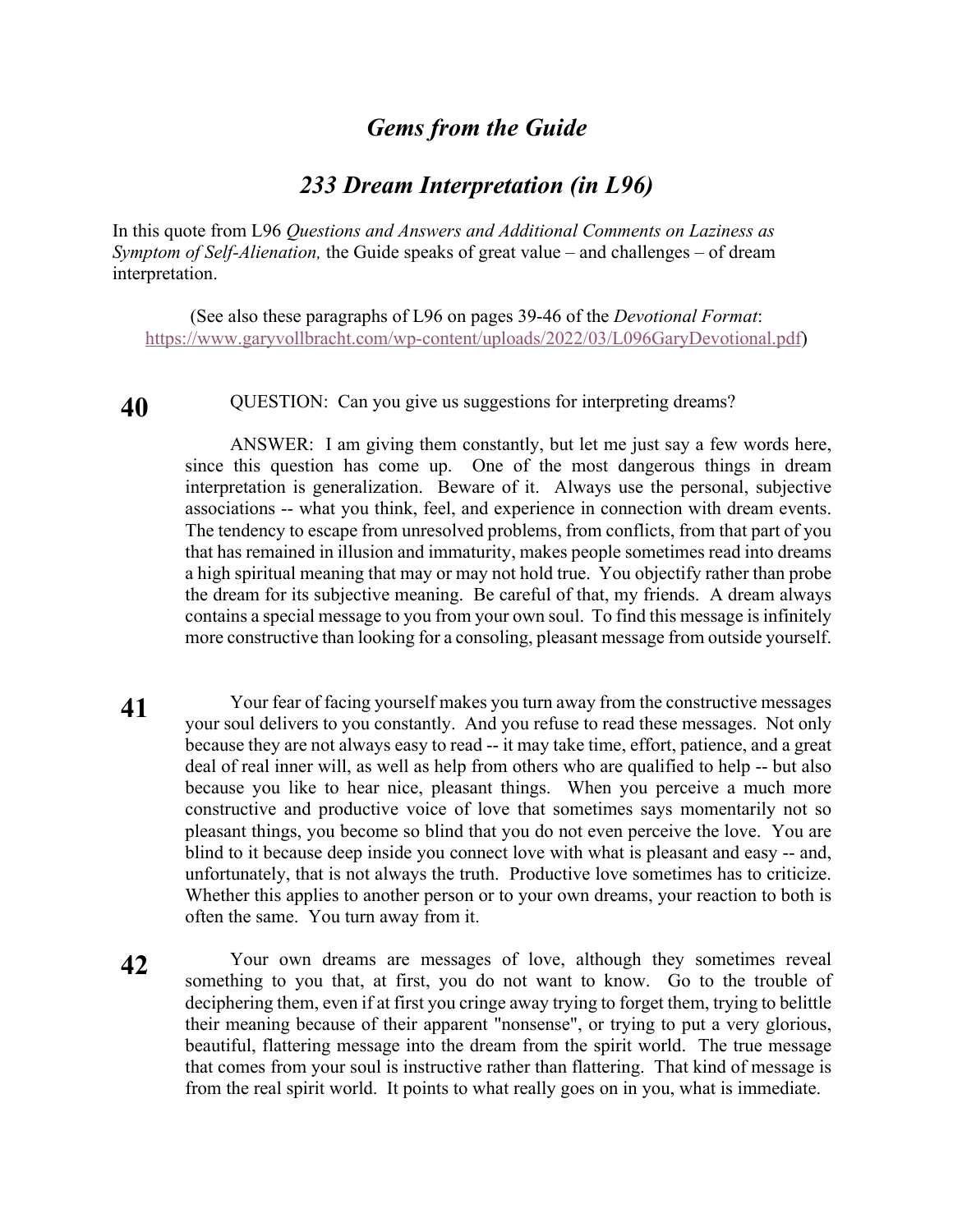## *Gems from the Guide*

## *233 Dream Interpretation (in L96)*

In this quote from L96 *Questions and Answers and Additional Comments on Laziness as Symptom of Self-Alienation,* the Guide speaks of great value – and challenges – of dream interpretation.

(See also these paragraphs of L96 on pages 39-46 of the *Devotional Format*: https://www.garyvollbracht.com/wp-content/uploads/2022/03/L096GaryDevotional.pdf)

**40** QUESTION: Can you give us suggestions for interpreting dreams?

ANSWER: I am giving them constantly, but let me just say a few words here, since this question has come up. One of the most dangerous things in dream interpretation is generalization. Beware of it. Always use the personal, subjective associations -- what you think, feel, and experience in connection with dream events. The tendency to escape from unresolved problems, from conflicts, from that part of you that has remained in illusion and immaturity, makes people sometimes read into dreams a high spiritual meaning that may or may not hold true. You objectify rather than probe the dream for its subjective meaning. Be careful of that, my friends. A dream always contains a special message to you from your own soul. To find this message is infinitely more constructive than looking for a consoling, pleasant message from outside yourself.

- **41** Your fear of facing yourself makes you turn away from the constructive messages your soul delivers to you constantly. And you refuse to read these messages. Not only because they are not always easy to read -- it may take time, effort, patience, and a great deal of real inner will, as well as help from others who are qualified to help -- but also because you like to hear nice, pleasant things. When you perceive a much more constructive and productive voice of love that sometimes says momentarily not so pleasant things, you become so blind that you do not even perceive the love. You are blind to it because deep inside you connect love with what is pleasant and easy -- and, unfortunately, that is not always the truth. Productive love sometimes has to criticize. Whether this applies to another person or to your own dreams, your reaction to both is often the same. You turn away from it.
- **42** Your own dreams are messages of love, although they sometimes reveal something to you that, at first, you do not want to know. Go to the trouble of deciphering them, even if at first you cringe away trying to forget them, trying to belittle their meaning because of their apparent "nonsense", or trying to put a very glorious, beautiful, flattering message into the dream from the spirit world. The true message that comes from your soul is instructive rather than flattering. That kind of message is from the real spirit world. It points to what really goes on in you, what is immediate.